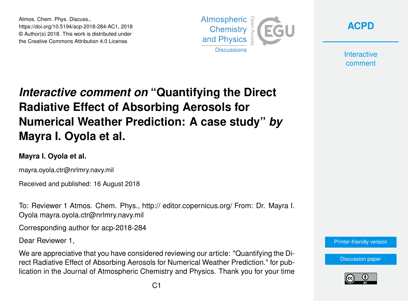Atmos. Chem. Phys. Discuss., https://doi.org/10.5194/acp-2018-284-AC1, 2018 © Author(s) 2018. This work is distributed under the Creative Commons Attribution 4.0 License.





**Interactive** comment

## *Interactive comment on* **"Quantifying the Direct Radiative Effect of Absorbing Aerosols for Numerical Weather Prediction: A case study"** *by* **Mayra I. Oyola et al.**

## **Mayra I. Oyola et al.**

mayra.oyola.ctr@nrlmry.navy.mil

Received and published: 16 August 2018

To: Reviewer 1 Atmos. Chem. Phys., http:// editor.copernicus.org/ From: Dr. Mayra I. Oyola mayra.oyola.ctr@nrlmry.navy.mil

Corresponding author for acp-2018-284

Dear Reviewer 1,

We are appreciative that you have considered reviewing our article: "Quantifying the Direct Radiative Effect of Absorbing Aerosols for Numerical Weather Prediction." for publication in the Journal of Atmospheric Chemistry and Physics. Thank you for your time



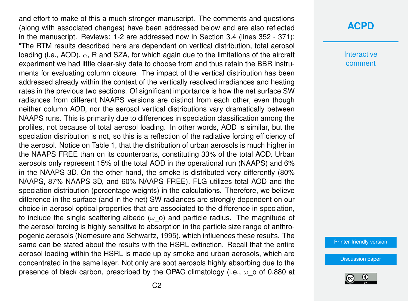and effort to make of this a much stronger manuscript. The comments and questions (along with associated changes) have been addressed below and are also reflected in the manuscript. Reviews: 1-2 are addressed now in Section 3.4 (lines 352 - 371): "The RTM results described here are dependent on vertical distribution, total aerosol loading (i.e., AOD),  $\alpha$ , R and SZA, for which again due to the limitations of the aircraft experiment we had little clear-sky data to choose from and thus retain the BBR instruments for evaluating column closure. The impact of the vertical distribution has been addressed already within the context of the vertically resolved irradiances and heating rates in the previous two sections. Of significant importance is how the net surface SW radiances from different NAAPS versions are distinct from each other, even though neither column AOD, nor the aerosol vertical distributions vary dramatically between NAAPS runs. This is primarily due to differences in speciation classification among the profiles, not because of total aerosol loading. In other words, AOD is similar, but the speciation distribution is not, so this is a reflection of the radiative forcing efficiency of the aerosol. Notice on Table 1, that the distribution of urban aerosols is much higher in the NAAPS FREE than on its counterparts, constituting 33% of the total AOD. Urban aerosols only represent 15% of the total AOD in the operational run (NAAPS) and 6% in the NAAPS 3D. On the other hand, the smoke is distributed very differently (80% NAAPS, 87% NAAPS 3D, and 60% NAAPS FREE). FLG utilizes total AOD and the speciation distribution (percentage weights) in the calculations. Therefore, we believe difference in the surface (and in the net) SW radiances are strongly dependent on our choice in aerosol optical properties that are associated to the difference in speciation, to include the single scattering albedo ( $\omega$  o) and particle radius. The magnitude of the aerosol forcing is highly sensitive to absorption in the particle size range of anthropogenic aerosols (Nemesure and Schwartz, 1995), which influences these results. The same can be stated about the results with the HSRL extinction. Recall that the entire aerosol loading within the HSRL is made up by smoke and urban aerosols, which are concentrated in the same layer. Not only are soot aerosols highly absorbing due to the presence of black carbon, prescribed by the OPAC climatology (i.e.,  $\omega$  o of 0.880 at

## **[ACPD](https://www.atmos-chem-phys-discuss.net/)**

**Interactive** comment

[Printer-friendly version](https://www.atmos-chem-phys-discuss.net/acp-2018-284/acp-2018-284-AC1-print.pdf)

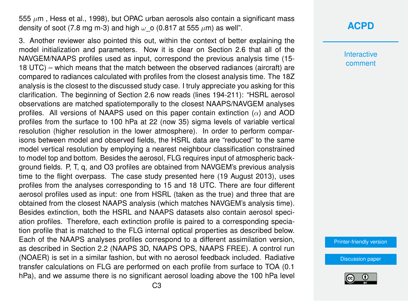555  $\mu$ m, Hess et al., 1998), but OPAC urban aerosols also contain a significant mass density of soot (7.8 mg m-3) and high  $\omega$  o (0.817 at 555  $\mu$ m) as well".

3. Another reviewer also pointed this out, within the context of better explaining the model initialization and parameters. Now it is clear on Section 2.6 that all of the NAVGEM/NAAPS profiles used as input, correspond the previous analysis time (15- 18 UTC) – which means that the match between the observed radiances (aircraft) are compared to radiances calculated with profiles from the closest analysis time. The 18Z analysis is the closest to the discussed study case. I truly appreciate you asking for this clarification. The beginning of Section 2.6 now reads (lines 194-211): "HSRL aerosol observations are matched spatiotemporally to the closest NAAPS/NAVGEM analyses profiles. All versions of NAAPS used on this paper contain extinction  $(\alpha)$  and AOD profiles from the surface to 100 hPa at 22 (now 35) sigma levels of variable vertical resolution (higher resolution in the lower atmosphere). In order to perform comparisons between model and observed fields, the HSRL data are "reduced" to the same model vertical resolution by employing a nearest neighbour classification constrained to model top and bottom. Besides the aerosol, FLG requires input of atmospheric background fields. P, T, q, and O3 profiles are obtained from NAVGEM's previous analysis time to the flight overpass. The case study presented here (19 August 2013), uses profiles from the analyses corresponding to 15 and 18 UTC. There are four different aerosol profiles used as input: one from HSRL (taken as the true) and three that are obtained from the closest NAAPS analysis (which matches NAVGEM's analysis time). Besides extinction, both the HSRL and NAAPS datasets also contain aerosol speciation profiles. Therefore, each extinction profile is paired to a corresponding speciation profile that is matched to the FLG internal optical properties as described below. Each of the NAAPS analyses profiles correspond to a different assimilation version, as described in Section 2.2 (NAAPS 3D, NAAPS OPS, NAAPS FREE). A control run (NOAER) is set in a similar fashion, but with no aerosol feedback included. Radiative transfer calculations on FLG are performed on each profile from surface to TOA (0.1 hPa), and we assume there is no significant aerosol loading above the 100 hPa level

## **[ACPD](https://www.atmos-chem-phys-discuss.net/)**

**Interactive** comment

[Printer-friendly version](https://www.atmos-chem-phys-discuss.net/acp-2018-284/acp-2018-284-AC1-print.pdf)